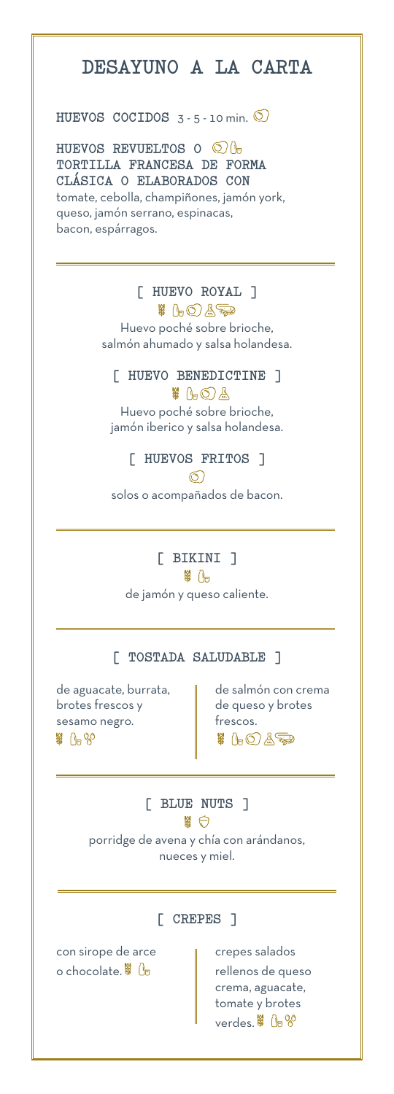# **DESAYUNO A LA CARTA**

#### **HUEVOS COCIDOS** 3 - 5 - 10 min. 2

**HUEVOS REVUELTOS O TORTILLA FRANCESA DE FORMA CLÁSICA O ELABORADOS CON** tomate, cebolla, champiñones, jamón york, queso, jamón serrano, espinacas, bacon, espárragos.

## **[ HUEVO ROYAL ]**

※ (- ① A <del>- 고</del> Huevo poché sobre brioche, salmón ahumado y salsa holandesa.

# **[ HUEVO BENEDICTINE ]**

 $%$   $A$   $\odot$   $A$ Huevo poché sobre brioche, jamón iberico y salsa holandesa.

## **[ HUEVOS FRITOS ]**

 $\circledcirc$ 

solos o acompañados de bacon.

#### **[ BIKINI ]** 第 1日

de jamón y queso caliente.

### **[ TOSTADA SALUDABLE ]**

de aguacate, burrata,  $\|\cdot\|$  de salmón con crema  $b$ rotes frescos y  $\parallel$  de queso y brotes sesamo negro.  $\|\cdot\|$  frescos. 第 1280

\$ 1-0 45

**[ BLUE NUTS ]**  路口 porridge de avena y chía con arándanos, nueces y miel.

## **[ CREPES ]**

con sirope de arce enterigative repes salados o chocolate.  $\frac{1}{2}$   $\frac{1}{2}$   $\frac{1}{2}$  rellenos de queso

 crema, aguacate, tomate y brotes verdes. \$ 00 %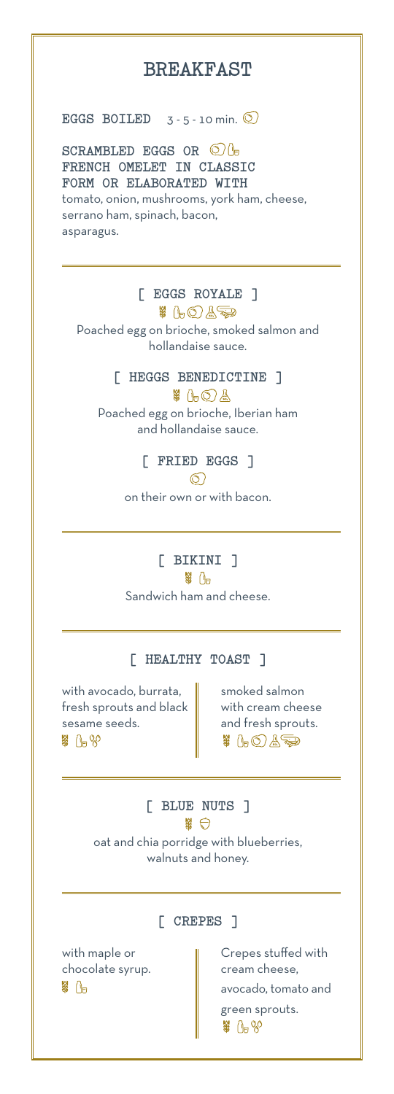# **BREAKFAST**

**EGGS BOILED**  $3 - 5 - 10$  min.  $\odot$ 

**SCRAMBLED EGGS OR FRENCH OMELET IN CLASSIC FORM OR ELABORATED WITH** tomato, onion, mushrooms, york ham, cheese,

serrano ham, spinach, bacon, asparagus.

# **[ EGGS ROYALE ]**

# 1-0A<del>.3</del> Poached egg on brioche, smoked salmon and hollandaise sauce.

#### **[ HEGGS BENEDICTINE ]**

 $\frac{11}{2}$  (b)  $\frac{1}{2}$ Poached egg on brioche, Iberian ham and hollandaise sauce.

## **[ FRIED EGGS ]**

 $\circledcirc$ 

on their own or with bacon.

# **[ BIKINI ]**

第 八日

Sandwich ham and cheese.

#### **[ HEALTHY TOAST ]**

with avocado, burrata,  $\parallel$  smoked salmon fresh sprouts and black  $\parallel$  with cream cheese sesame seeds. **and fresh sprouts.** \$ 0-80

 $\frac{11}{100}$   $\frac{1}{100}$ 

**[ BLUE NUTS ]**  \$ 0 oat and chia porridge with blueberries, walnuts and honey.

### **[ CREPES ]**

chocolate syrup. **cream cheese**, \$ 0-

with maple or  $\parallel$  Crepes stuffed with avocado, tomato and green sprouts. \$ 0-80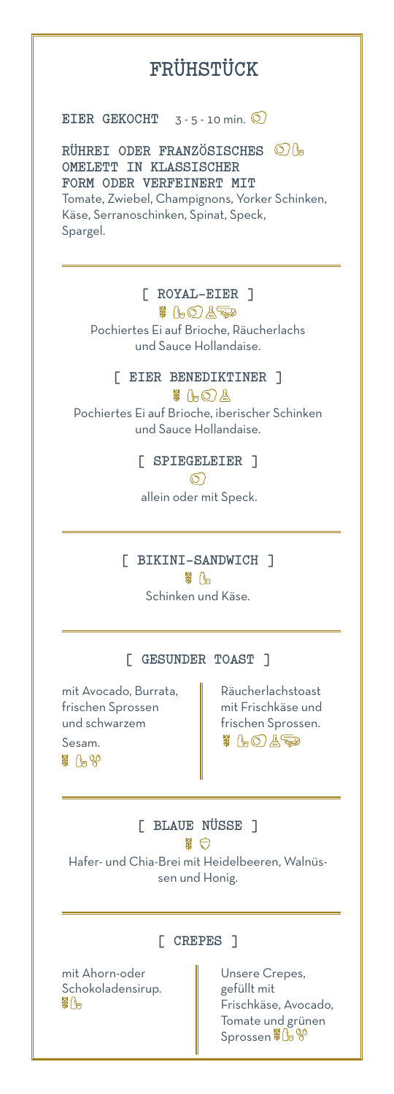# **FRÜHSTÜCK**

**EIER GEKOCHT**  $3 - 5 - 10$  min.  $\odot$ 

**RÜHREI ODER FRANZÖSISCHES OMELETT IN KLASSISCHER FORM ODER VERFEINERT MIT**

Tomate, Zwiebel, Champignons, Yorker Schinken, Käse, Serranoschinken, Spinat, Speck, Spargel.

## **[ ROYAL-EIER ]**

# 1-0A<del>.3</del> Pochiertes Ei auf Brioche, Räucherlachs und Sauce Hollandaise.

#### **[ EIER BENEDIKTINER ]**

\$ 1-0A

Pochiertes Ei auf Brioche, iberischer Schinken und Sauce Hollandaise.

> **[ SPIEGELEIER ]**   $\circledcirc$

allein oder mit Speck.

**[ BIKINI-SANDWICH ]** 第 八日

Schinken und Käse.

#### **[ GESUNDER TOAST ]**

mit Avocado, Burrata, Räucherlachstoast frischen Sprossen **mit Frischkäse und** und schwarzem **frischen Sprossen.** Sesam. \$ 0-80

■ げし 賞号

**[ BLAUE NÜSSE ]**  器 白

Hafer- und Chia-Brei mit Heidelbeeren, Walnüssen und Honig.

mit Ahorn-oder **National Constant** Unsere Crepes, Schokoladensirup. gefüllt mit 第∬⊟

#### **[ CREPES ]**

 Frischkäse, Avocado, Tomate und grünen Sprossen